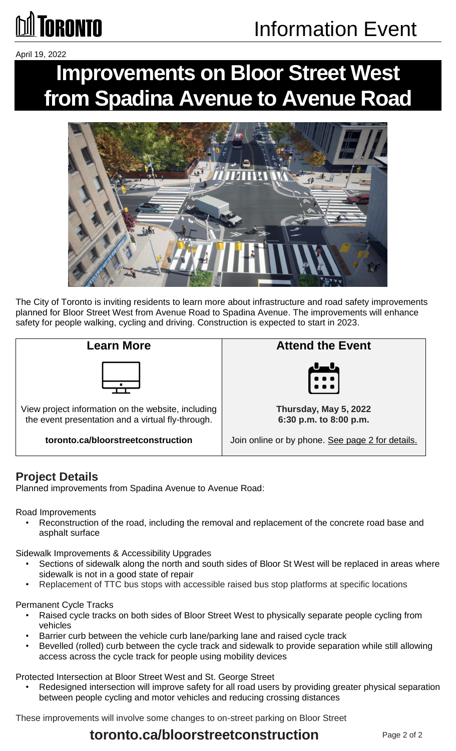# Information Event

April 19, 2022

**GRONTO** 

# **Improvements on Bloor Street West from Spadina Avenue to Avenue Road**



The City of Toronto is inviting residents to learn more about infrastructure and road safety improvements planned for Bloor Street West from Avenue Road to Spadina Avenue. The improvements will enhance safety for people walking, cycling and driving. Construction is expected to start in 2023.



**toronto.ca/bloorstreetconstruction** 



Join online or by phone. See page 2 for details.

#### **Project Details**

Planned improvements from Spadina Avenue to Avenue Road:

Road Improvements

• Reconstruction of the road, including the removal and replacement of the concrete road base and asphalt surface

Sidewalk Improvements & Accessibility Upgrades

- Sections of sidewalk along the north and south sides of Bloor St West will be replaced in areas where sidewalk is not in a good state of repair
- Replacement of TTC bus stops with accessible raised bus stop platforms at specific locations

#### Permanent Cycle Tracks

- Raised cycle tracks on both sides of Bloor Street West to physically separate people cycling from vehicles
- Barrier curb between the vehicle curb lane/parking lane and raised cycle track
- Bevelled (rolled) curb between the cycle track and sidewalk to provide separation while still allowing access across the cycle track for people using mobility devices

Protected Intersection at Bloor Street West and St. George Street

Redesigned intersection will improve safety for all road users by providing greater physical separation between people cycling and motor vehicles and reducing crossing distances

These improvements will involve some changes to on-street parking on Bloor Street

#### **toronto.ca/bloorstreetconstruction**